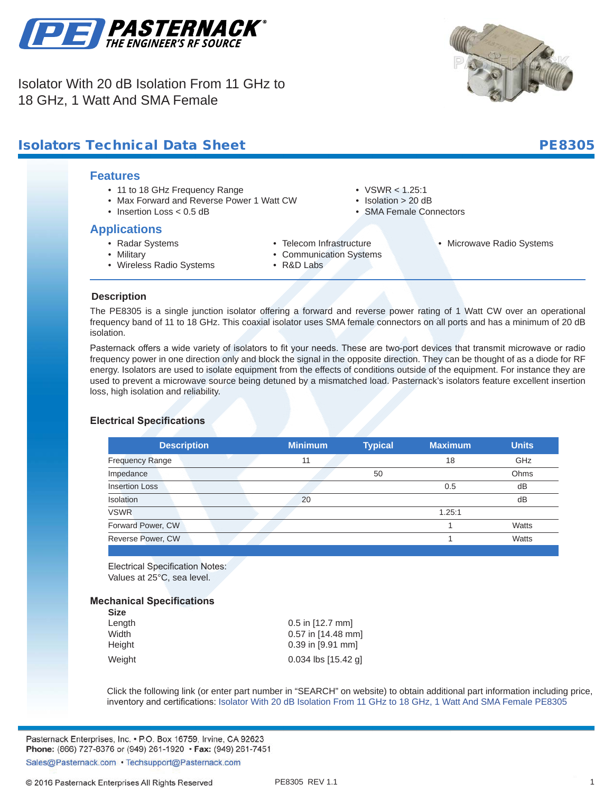

Isolator With 20 dB Isolation From 11 GHz to 18 GHz, 1 Watt And SMA Female



## **Isolators Technical Data Sheet PE8305** PE8305

#### **Features**

- 11 to 18 GHz Frequency Range
- Max Forward and Reverse Power 1 Watt CW
- Insertion Loss < 0.5 dB

#### **Applications**

• Radar Systems

• Telecom Infrastructure

•  $VSWR < 1.25:1$ • Isolation > 20 dB • SMA Female Connectors

• Microwave Radio Systems

- Military • Wireless Radio Systems
- Communication Systems
- R&D Labs

**Description**

**.**

The PE8305 is a single junction isolator offering a forward and reverse power rating of 1 Watt CW over an operational frequency band of 11 to 18 GHz. This coaxial isolator uses SMA female connectors on all ports and has a minimum of 20 dB isolation.

Pasternack offers a wide variety of isolators to fit your needs. These are two-port devices that transmit microwave or radio frequency power in one direction only and block the signal in the opposite direction. They can be thought of as a diode for RF energy. Isolators are used to isolate equipment from the effects of conditions outside of the equipment. For instance they are used to prevent a microwave source being detuned by a mismatched load. Pasternack's isolators feature excellent insertion loss, high isolation and reliability.

#### **Electrical Specifications**

| <b>Description</b>     | <b>Minimum</b> | <b>Typical</b> | <b>Maximum</b> | <b>Units</b> |
|------------------------|----------------|----------------|----------------|--------------|
| <b>Frequency Range</b> | 11             |                | 18             | GHz          |
| Impedance              |                | 50             |                | Ohms         |
| <b>Insertion Loss</b>  |                |                | 0.5            | dB           |
| Isolation              | 20             |                |                | dB           |
| <b>VSWR</b>            |                |                | 1.25:1         |              |
| Forward Power, CW      |                |                |                | Watts        |
| Reverse Power, CW      |                |                |                | Watts        |
|                        |                |                |                |              |

Electrical Specification Notes: Values at 25°C, sea level.

#### **Mechanical Specifications**

| <b>Size</b> |                       |
|-------------|-----------------------|
| Length      | $0.5$ in [12.7 mm]    |
| Width       | $0.57$ in [14.48 mm]  |
| Height      | 0.39 in [9.91 mm]     |
| Weight      | $0.034$ lbs [15.42 g] |

Click the following link (or enter part number in "SEARCH" on website) to obtain additional part information including price, inventory and certifications: [Isolator With 20 dB Isolation From 11 GHz to 18 GHz, 1 Watt And SMA Female](https://www.pasternack.com/50-ohm-sma-isolator-11000-mhz-18000-mhz-20-watts-20-db-pe8305-p.aspx) [PE8305](https://www.pasternack.com/50-ohm-sma-isolator-11000-mhz-18000-mhz-20-watts-20-db-pe8305-p.aspx)

Pasternack Enterprises, Inc. • P.O. Box 16759, Irvine, CA 92623 Phone: (866) 727-8376 or (949) 261-1920 • Fax: (949) 261-7451

Sales@Pasternack.com • Techsupport@Pasternack.com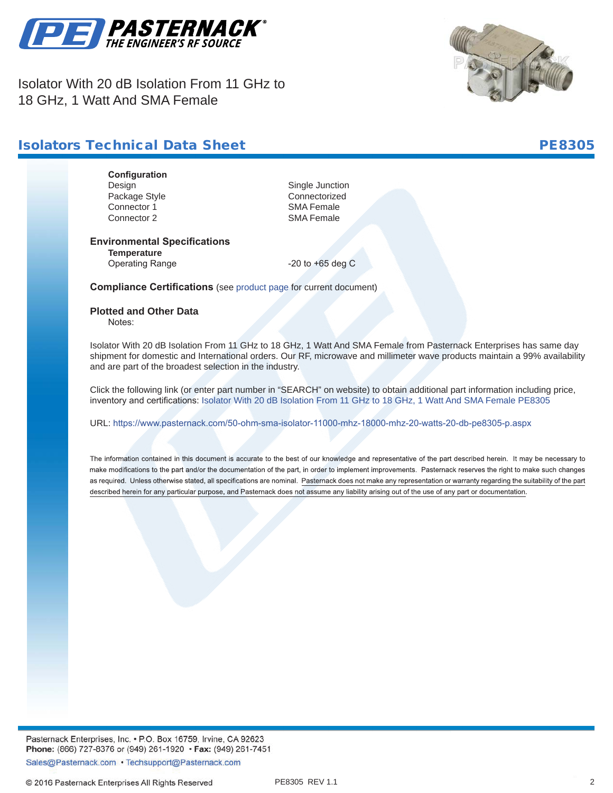

Isolator With 20 dB Isolation From 11 GHz to 18 GHz, 1 Watt And SMA Female



### **Isolators Technical Data Sheet PE8305**

**Configuration** Design Single Junction Package Style **Connectorized**<br>Connector 1 Connector 1 Connector 1 Connector 2 SMA Female

#### **Environmental Specifications Temperature**

Operating Range -20 to +65 deg C

**Compliance Certifications** (see [product page](https://www.pasternack.com/50-ohm-sma-isolator-11000-mhz-18000-mhz-20-watts-20-db-pe8305-p.aspx) for current document)

#### **Plotted and Other Data**

Notes:

Isolator With 20 dB Isolation From 11 GHz to 18 GHz, 1 Watt And SMA Female from Pasternack Enterprises has same day shipment for domestic and International orders. Our RF, microwave and millimeter wave products maintain a 99% availability and are part of the broadest selection in the industry.

Click the following link (or enter part number in "SEARCH" on website) to obtain additional part information including price, inventory and certifications: [Isolator With 20 dB Isolation From 11 GHz to 18 GHz, 1 Watt And SMA Female](https://www.pasternack.com/50-ohm-sma-isolator-11000-mhz-18000-mhz-20-watts-20-db-pe8305-p.aspx) [PE8305](https://www.pasternack.com/50-ohm-sma-isolator-11000-mhz-18000-mhz-20-watts-20-db-pe8305-p.aspx)

URL: <https://www.pasternack.com/50-ohm-sma-isolator-11000-mhz-18000-mhz-20-watts-20-db-pe8305-p.aspx>

The information contained in this document is accurate to the best of our knowledge and representative of the part described herein. It may be necessary to make modifications to the part and/or the documentation of the part, in order to implement improvements. Pasternack reserves the right to make such changes as required. Unless otherwise stated, all specifications are nominal. Pasternack does not make any representation or warranty regarding the suitability of the part described herein for any particular purpose, and Pasternack does not assume any liability arising out of the use of any part or documentation.

Pasternack Enterprises, Inc. • P.O. Box 16759, Irvine, CA 92623 Phone: (866) 727-8376 or (949) 261-1920 • Fax: (949) 261-7451

Sales@Pasternack.com • Techsupport@Pasternack.com